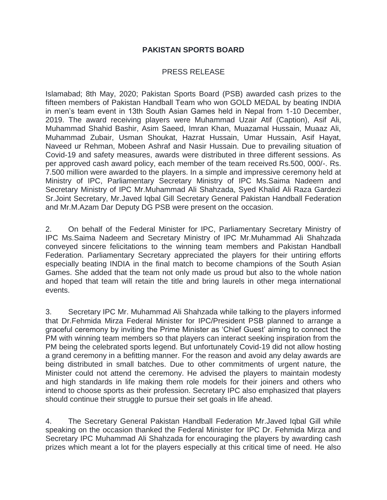## **PAKISTAN SPORTS BOARD**

## PRESS RELEASE

Islamabad; 8th May, 2020; Pakistan Sports Board (PSB) awarded cash prizes to the fifteen members of Pakistan Handball Team who won GOLD MEDAL by beating INDIA in men's team event in 13th South Asian Games held in Nepal from 1-10 December, 2019. The award receiving players were Muhammad Uzair Atif (Caption), Asif Ali, Muhammad Shahid Bashir, Asim Saeed, Imran Khan, Muazamal Hussain, Muaaz Ali, Muhammad Zubair, Usman Shoukat, Hazrat Hussain, Umar Hussain, Asif Hayat, Naveed ur Rehman, Mobeen Ashraf and Nasir Hussain. Due to prevailing situation of Covid-19 and safety measures, awards were distributed in three different sessions. As per approved cash award policy, each member of the team received Rs.500, 000/-. Rs. 7.500 million were awarded to the players. In a simple and impressive ceremony held at Ministry of IPC, Parliamentary Secretary Ministry of IPC Ms.Saima Nadeem and Secretary Ministry of IPC Mr.Muhammad Ali Shahzada, Syed Khalid Ali Raza Gardezi Sr.Joint Secretary, Mr.Javed Iqbal Gill Secretary General Pakistan Handball Federation and Mr.M.Azam Dar Deputy DG PSB were present on the occasion.

2. On behalf of the Federal Minister for IPC, Parliamentary Secretary Ministry of IPC Ms.Saima Nadeem and Secretary Ministry of IPC Mr.Muhammad Ali Shahzada conveyed sincere felicitations to the winning team members and Pakistan Handball Federation. Parliamentary Secretary appreciated the players for their untiring efforts especially beating INDIA in the final match to become champions of the South Asian Games. She added that the team not only made us proud but also to the whole nation and hoped that team will retain the title and bring laurels in other mega international events.

3. Secretary IPC Mr. Muhammad Ali Shahzada while talking to the players informed that Dr.Fehmida Mirza Federal Minister for IPC/President PSB planned to arrange a graceful ceremony by inviting the Prime Minister as 'Chief Guest' aiming to connect the PM with winning team members so that players can interact seeking inspiration from the PM being the celebrated sports legend. But unfortunately Covid-19 did not allow hosting a grand ceremony in a befitting manner. For the reason and avoid any delay awards are being distributed in small batches. Due to other commitments of urgent nature, the Minister could not attend the ceremony. He advised the players to maintain modesty and high standards in life making them role models for their joiners and others who intend to choose sports as their profession. Secretary IPC also emphasized that players should continue their struggle to pursue their set goals in life ahead.

4. The Secretary General Pakistan Handball Federation Mr.Javed Iqbal Gill while speaking on the occasion thanked the Federal Minister for IPC Dr. Fehmida Mirza and Secretary IPC Muhammad Ali Shahzada for encouraging the players by awarding cash prizes which meant a lot for the players especially at this critical time of need. He also